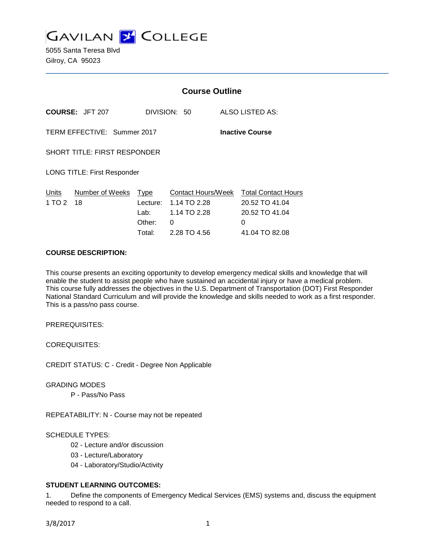

5055 Santa Teresa Blvd Gilroy, CA 95023

|                                                       |                 | <b>Course Outline</b> |                    |  |                            |
|-------------------------------------------------------|-----------------|-----------------------|--------------------|--|----------------------------|
|                                                       | COURSE: JFT 207 | DIVISION: 50          |                    |  | ALSO LISTED AS:            |
| TERM EFFECTIVE: Summer 2017<br><b>Inactive Course</b> |                 |                       |                    |  |                            |
| <b>SHORT TITLE: FIRST RESPONDER</b>                   |                 |                       |                    |  |                            |
| <b>LONG TITLE: First Responder</b>                    |                 |                       |                    |  |                            |
| Units                                                 | Number of Weeks | Type                  | Contact Hours/Week |  | <b>Total Contact Hours</b> |
| 1 TO 2                                                | 18              | Lecture:              | 1.14 TO 2.28       |  | 20.52 TO 41.04             |
|                                                       |                 | Lab:                  | 1.14 TO 2.28       |  | 20.52 TO 41.04             |
|                                                       |                 | Other:                | 0                  |  | 0                          |
|                                                       |                 | Total:                | 2.28 TO 4.56       |  | 41.04 TO 82.08             |

#### **COURSE DESCRIPTION:**

This course presents an exciting opportunity to develop emergency medical skills and knowledge that will enable the student to assist people who have sustained an accidental injury or have a medical problem. This course fully addresses the objectives in the U.S. Department of Transportation (DOT) First Responder National Standard Curriculum and will provide the knowledge and skills needed to work as a first responder. This is a pass/no pass course.

PREREQUISITES:

COREQUISITES:

CREDIT STATUS: C - Credit - Degree Non Applicable

GRADING MODES

P - Pass/No Pass

REPEATABILITY: N - Course may not be repeated

SCHEDULE TYPES:

02 - Lecture and/or discussion

03 - Lecture/Laboratory

04 - Laboratory/Studio/Activity

# **STUDENT LEARNING OUTCOMES:**

1. Define the components of Emergency Medical Services (EMS) systems and, discuss the equipment needed to respond to a call.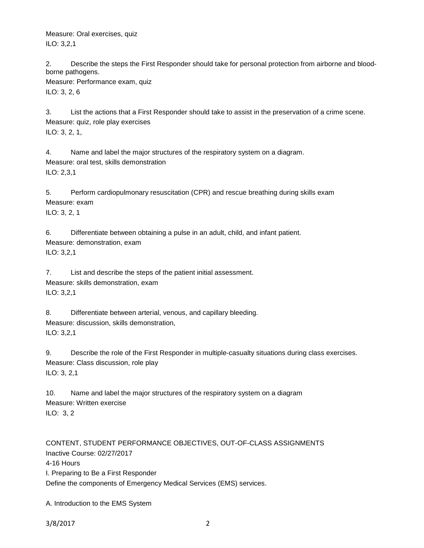Measure: Oral exercises, quiz ILO: 3,2,1

2. Describe the steps the First Responder should take for personal protection from airborne and bloodborne pathogens.

Measure: Performance exam, quiz ILO: 3, 2, 6

3. List the actions that a First Responder should take to assist in the preservation of a crime scene. Measure: quiz, role play exercises ILO: 3, 2, 1,

4. Name and label the major structures of the respiratory system on a diagram. Measure: oral test, skills demonstration ILO: 2,3,1

5. Perform cardiopulmonary resuscitation (CPR) and rescue breathing during skills exam Measure: exam ILO: 3, 2, 1

6. Differentiate between obtaining a pulse in an adult, child, and infant patient. Measure: demonstration, exam ILO: 3,2,1

7. List and describe the steps of the patient initial assessment. Measure: skills demonstration, exam ILO: 3,2,1

8. Differentiate between arterial, venous, and capillary bleeding. Measure: discussion, skills demonstration, ILO: 3,2,1

9. Describe the role of the First Responder in multiple-casualty situations during class exercises. Measure: Class discussion, role play ILO: 3, 2,1

10. Name and label the major structures of the respiratory system on a diagram Measure: Written exercise ILO: 3, 2

CONTENT, STUDENT PERFORMANCE OBJECTIVES, OUT-OF-CLASS ASSIGNMENTS Inactive Course: 02/27/2017 4-16 Hours I. Preparing to Be a First Responder Define the components of Emergency Medical Services (EMS) services.

A. Introduction to the EMS System

3/8/2017 2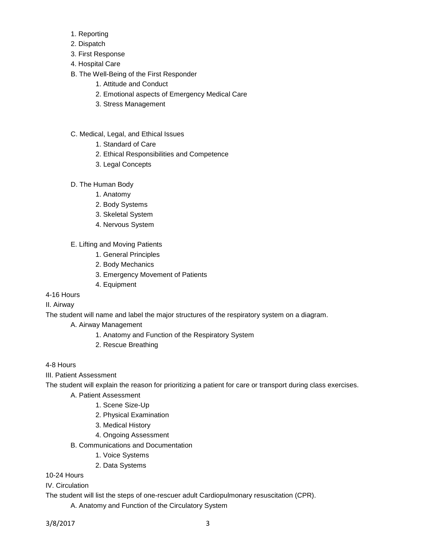- 1. Reporting
- 2. Dispatch
- 3. First Response
- 4. Hospital Care
- B. The Well-Being of the First Responder
	- 1. Attitude and Conduct
	- 2. Emotional aspects of Emergency Medical Care
	- 3. Stress Management
- C. Medical, Legal, and Ethical Issues
	- 1. Standard of Care
	- 2. Ethical Responsibilities and Competence
	- 3. Legal Concepts
- D. The Human Body
	- 1. Anatomy
	- 2. Body Systems
	- 3. Skeletal System
	- 4. Nervous System
- E. Lifting and Moving Patients
	- 1. General Principles
	- 2. Body Mechanics
	- 3. Emergency Movement of Patients
	- 4. Equipment
- 4-16 Hours
- II. Airway

The student will name and label the major structures of the respiratory system on a diagram.

A. Airway Management

- 1. Anatomy and Function of the Respiratory System
- 2. Rescue Breathing

4-8 Hours

III. Patient Assessment

The student will explain the reason for prioritizing a patient for care or transport during class exercises.

- A. Patient Assessment
	- 1. Scene Size-Up
	- 2. Physical Examination
	- 3. Medical History
	- 4. Ongoing Assessment
- B. Communications and Documentation
	- 1. Voice Systems
	- 2. Data Systems

10-24 Hours

IV. Circulation

The student will list the steps of one-rescuer adult Cardiopulmonary resuscitation (CPR).

A. Anatomy and Function of the Circulatory System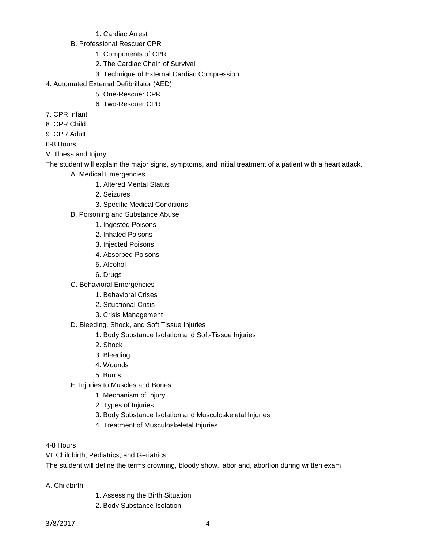- 1. Cardiac Arrest
- B. Professional Rescuer CPR
	- 1. Components of CPR
	- 2. The Cardiac Chain of Survival
	- 3. Technique of External Cardiac Compression
- 4. Automated External Defibrillator (AED)
	- 5. One-Rescuer CPR
	- 6. Two-Rescuer CPR
- 7. CPR Infant
- 8. CPR Child
- 9. CPR Adult
- 6-8 Hours
- V. Illness and Injury

The student will explain the major signs, symptoms, and initial treatment of a patient with a heart attack.

- A. Medical Emergencies
	- 1. Altered Mental Status
	- 2. Seizures
	- 3. Specific Medical Conditions
- B. Poisoning and Substance Abuse
	- 1. Ingested Poisons
	- 2. Inhaled Poisons
	- 3. Injected Poisons
	- 4. Absorbed Poisons
	- 5. Alcohol
	- 6. Drugs
- C. Behavioral Emergencies
	- 1. Behavioral Crises
	- 2. Situational Crisis
	- 3. Crisis Management
- D. Bleeding, Shock, and Soft Tissue Injuries
	- 1. Body Substance Isolation and Soft-Tissue Injuries
	- 2. Shock
	- 3. Bleeding
	- 4. Wounds
	- 5. Burns
- E. Injuries to Muscles and Bones
	- 1. Mechanism of Injury
	- 2. Types of Injuries
	- 3. Body Substance Isolation and Musculoskeletal Injuries
	- 4. Treatment of Musculoskeletal Injuries

# 4-8 Hours

VI. Childbirth, Pediatrics, and Geriatrics

The student will define the terms crowning, bloody show, labor and, abortion during written exam.

- A. Childbirth
- 1. Assessing the Birth Situation
- 2. Body Substance Isolation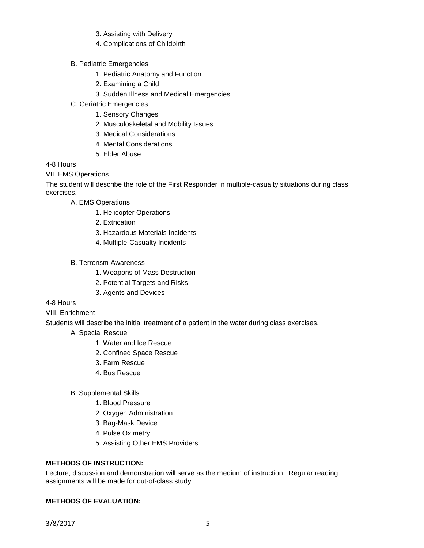- 3. Assisting with Delivery
- 4. Complications of Childbirth
- B. Pediatric Emergencies
	- 1. Pediatric Anatomy and Function
	- 2. Examining a Child
	- 3. Sudden Illness and Medical Emergencies
- C. Geriatric Emergencies
	- 1. Sensory Changes
	- 2. Musculoskeletal and Mobility Issues
	- 3. Medical Considerations
	- 4. Mental Considerations
	- 5. Elder Abuse

4-8 Hours

VII. EMS Operations

The student will describe the role of the First Responder in multiple-casualty situations during class exercises.

A. EMS Operations

- 1. Helicopter Operations
- 2. Extrication
- 3. Hazardous Materials Incidents
- 4. Multiple-Casualty Incidents
- B. Terrorism Awareness
	- 1. Weapons of Mass Destruction
	- 2. Potential Targets and Risks
	- 3. Agents and Devices
- 4-8 Hours
- VIII. Enrichment

Students will describe the initial treatment of a patient in the water during class exercises.

- A. Special Rescue
	- 1. Water and Ice Rescue
	- 2. Confined Space Rescue
	- 3. Farm Rescue
	- 4. Bus Rescue
- B. Supplemental Skills
	- 1. Blood Pressure
	- 2. Oxygen Administration
	- 3. Bag-Mask Device
	- 4. Pulse Oximetry
	- 5. Assisting Other EMS Providers

## **METHODS OF INSTRUCTION:**

Lecture, discussion and demonstration will serve as the medium of instruction. Regular reading assignments will be made for out-of-class study.

## **METHODS OF EVALUATION:**

3/8/2017 5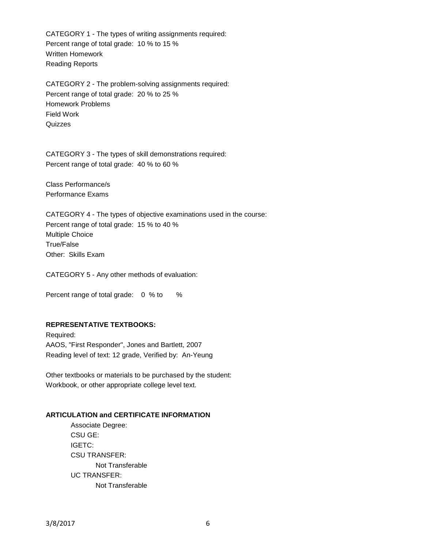CATEGORY 1 - The types of writing assignments required: Percent range of total grade: 10 % to 15 % Written Homework Reading Reports

CATEGORY 2 - The problem-solving assignments required: Percent range of total grade: 20 % to 25 % Homework Problems Field Work **Quizzes** 

CATEGORY 3 - The types of skill demonstrations required: Percent range of total grade: 40 % to 60 %

Class Performance/s Performance Exams

CATEGORY 4 - The types of objective examinations used in the course: Percent range of total grade: 15 % to 40 % Multiple Choice True/False Other: Skills Exam

CATEGORY 5 - Any other methods of evaluation:

Percent range of total grade: 0 % to %

## **REPRESENTATIVE TEXTBOOKS:**

Required: AAOS, "First Responder", Jones and Bartlett, 2007 Reading level of text: 12 grade, Verified by: An-Yeung

Other textbooks or materials to be purchased by the student: Workbook, or other appropriate college level text.

#### **ARTICULATION and CERTIFICATE INFORMATION**

Associate Degree: CSU GE: IGETC: CSU TRANSFER: Not Transferable UC TRANSFER: Not Transferable